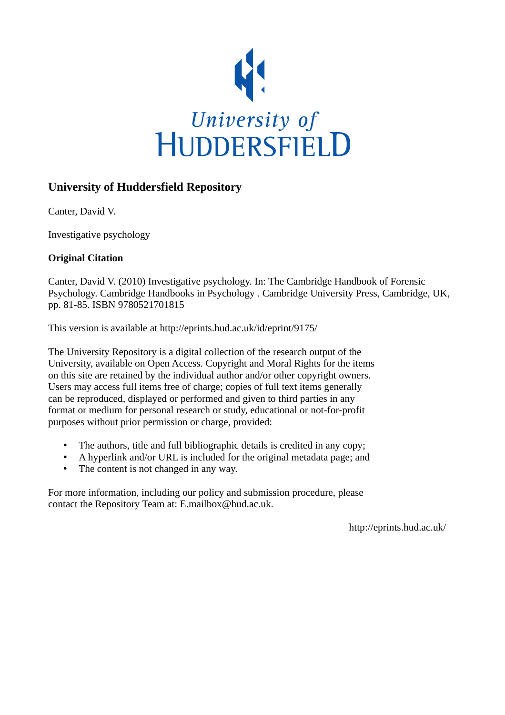

# **University of Huddersfield Repository**

Canter, David V.

Investigative psychology

# **Original Citation**

Canter, David V. (2010) Investigative psychology. In: The Cambridge Handbook of Forensic Psychology. Cambridge Handbooks in Psychology . Cambridge University Press, Cambridge, UK, pp. 81-85. ISBN 9780521701815

This version is available at http://eprints.hud.ac.uk/id/eprint/9175/

The University Repository is a digital collection of the research output of the University, available on Open Access. Copyright and Moral Rights for the items on this site are retained by the individual author and/or other copyright owners. Users may access full items free of charge; copies of full text items generally can be reproduced, displayed or performed and given to third parties in any format or medium for personal research or study, educational or not-for-profit purposes without prior permission or charge, provided:

- The authors, title and full bibliographic details is credited in any copy;
- A hyperlink and/or URL is included for the original metadata page; and
- The content is not changed in any way.

For more information, including our policy and submission procedure, please contact the Repository Team at: E.mailbox@hud.ac.uk.

http://eprints.hud.ac.uk/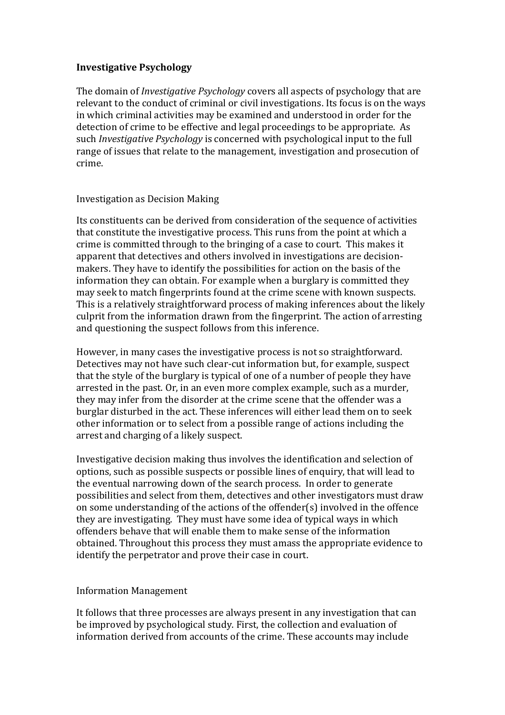## Investigative Psychology

The domain of Investigative Psychology covers all aspects of psychology that are relevant to the conduct of criminal or civil investigations. Its focus is on the ways in which criminal activities may be examined and understood in order for the detection of crime to be effective and legal proceedings to be appropriate. As such Investigative Psychology is concerned with psychological input to the full range of issues that relate to the management, investigation and prosecution of crime.

#### Investigation as Decision Making

Its constituents can be derived from consideration of the sequence of activities that constitute the investigative process. This runs from the point at which a crime is committed through to the bringing of a case to court. This makes it apparent that detectives and others involved in investigations are decisionmakers. They have to identify the possibilities for action on the basis of the information they can obtain. For example when a burglary is committed they may seek to match fingerprints found at the crime scene with known suspects. This is a relatively straightforward process of making inferences about the likely culprit from the information drawn from the fingerprint. The action of arresting and questioning the suspect follows from this inference.

However, in many cases the investigative process is not so straightforward. Detectives may not have such clear-cut information but, for example, suspect that the style of the burglary is typical of one of a number of people they have arrested in the past. Or, in an even more complex example, such as a murder, they may infer from the disorder at the crime scene that the offender was a burglar disturbed in the act. These inferences will either lead them on to seek other information or to select from a possible range of actions including the arrest and charging of a likely suspect.

Investigative decision making thus involves the identification and selection of options, such as possible suspects or possible lines of enquiry, that will lead to the eventual narrowing down of the search process. In order to generate possibilities and select from them, detectives and other investigators must draw on some understanding of the actions of the offender(s) involved in the offence they are investigating. They must have some idea of typical ways in which offenders behave that will enable them to make sense of the information obtained. Throughout this process they must amass the appropriate evidence to identify the perpetrator and prove their case in court.

#### Information Management

It follows that three processes are always present in any investigation that can be improved by psychological study. First, the collection and evaluation of information derived from accounts of the crime. These accounts may include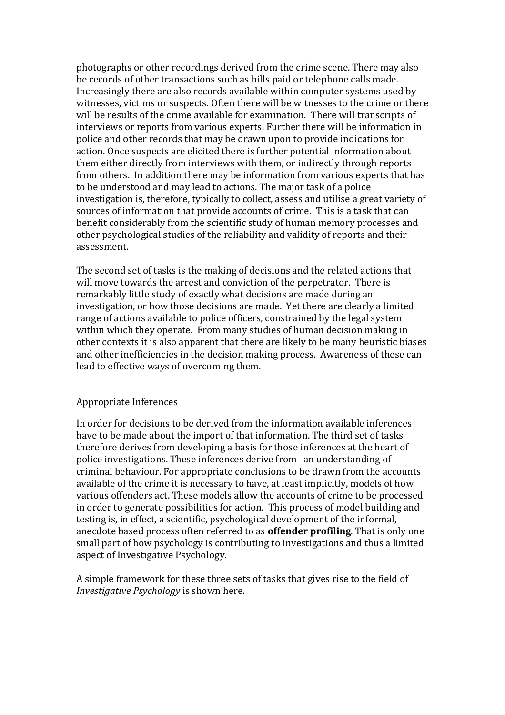photographs or other recordings derived from the crime scene. There may also be records of other transactions such as bills paid or telephone calls made. Increasingly there are also records available within computer systems used by witnesses, victims or suspects. Often there will be witnesses to the crime or there will be results of the crime available for examination. There will transcripts of interviews or reports from various experts. Further there will be information in police and other records that may be drawn upon to provide indications for action. Once suspects are elicited there is further potential information about them either directly from interviews with them, or indirectly through reports from others. In addition there may be information from various experts that has to be understood and may lead to actions. The major task of a police investigation is, therefore, typically to collect, assess and utilise a great variety of sources of information that provide accounts of crime. This is a task that can benefit considerably from the scientific study of human memory processes and other psychological studies of the reliability and validity of reports and their assessment.

The second set of tasks is the making of decisions and the related actions that will move towards the arrest and conviction of the perpetrator. There is remarkably little study of exactly what decisions are made during an investigation, or how those decisions are made. Yet there are clearly a limited range of actions available to police officers, constrained by the legal system within which they operate. From many studies of human decision making in other contexts it is also apparent that there are likely to be many heuristic biases and other inefficiencies in the decision making process. Awareness of these can lead to effective ways of overcoming them.

## Appropriate Inferences

In order for decisions to be derived from the information available inferences have to be made about the import of that information. The third set of tasks therefore derives from developing a basis for those inferences at the heart of police investigations. These inferences derive from an understanding of criminal behaviour. For appropriate conclusions to be drawn from the accounts available of the crime it is necessary to have, at least implicitly, models of how various offenders act. These models allow the accounts of crime to be processed in order to generate possibilities for action. This process of model building and testing is, in effect, a scientific, psychological development of the informal, anecdote based process often referred to as offender profiling. That is only one small part of how psychology is contributing to investigations and thus a limited aspect of Investigative Psychology.

A simple framework for these three sets of tasks that gives rise to the field of Investigative Psychology is shown here.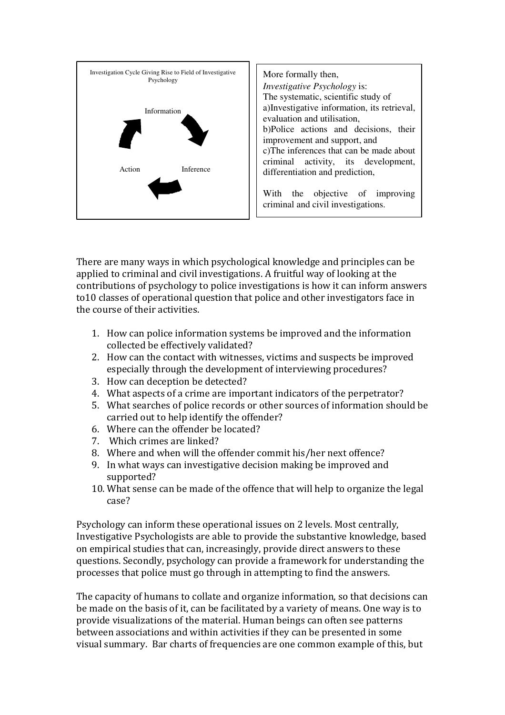

There are many ways in which psychological knowledge and principles can be applied to criminal and civil investigations. A fruitful way of looking at the contributions of psychology to police investigations is how it can inform answers to10 classes of operational question that police and other investigators face in the course of their activities.

- 1. How can police information systems be improved and the information collected be effectively validated?
- 2. How can the contact with witnesses, victims and suspects be improved especially through the development of interviewing procedures?
- 3. How can deception be detected?
- 4. What aspects of a crime are important indicators of the perpetrator?
- 5. What searches of police records or other sources of information should be carried out to help identify the offender?
- 6. Where can the offender be located?
- 7. Which crimes are linked?
- 8. Where and when will the offender commit his/her next offence?
- 9. In what ways can investigative decision making be improved and supported?
- 10. What sense can be made of the offence that will help to organize the legal case?

Psychology can inform these operational issues on 2 levels. Most centrally, Investigative Psychologists are able to provide the substantive knowledge, based on empirical studies that can, increasingly, provide direct answers to these questions. Secondly, psychology can provide a framework for understanding the processes that police must go through in attempting to find the answers.

The capacity of humans to collate and organize information, so that decisions can be made on the basis of it, can be facilitated by a variety of means. One way is to provide visualizations of the material. Human beings can often see patterns between associations and within activities if they can be presented in some visual summary. Bar charts of frequencies are one common example of this, but